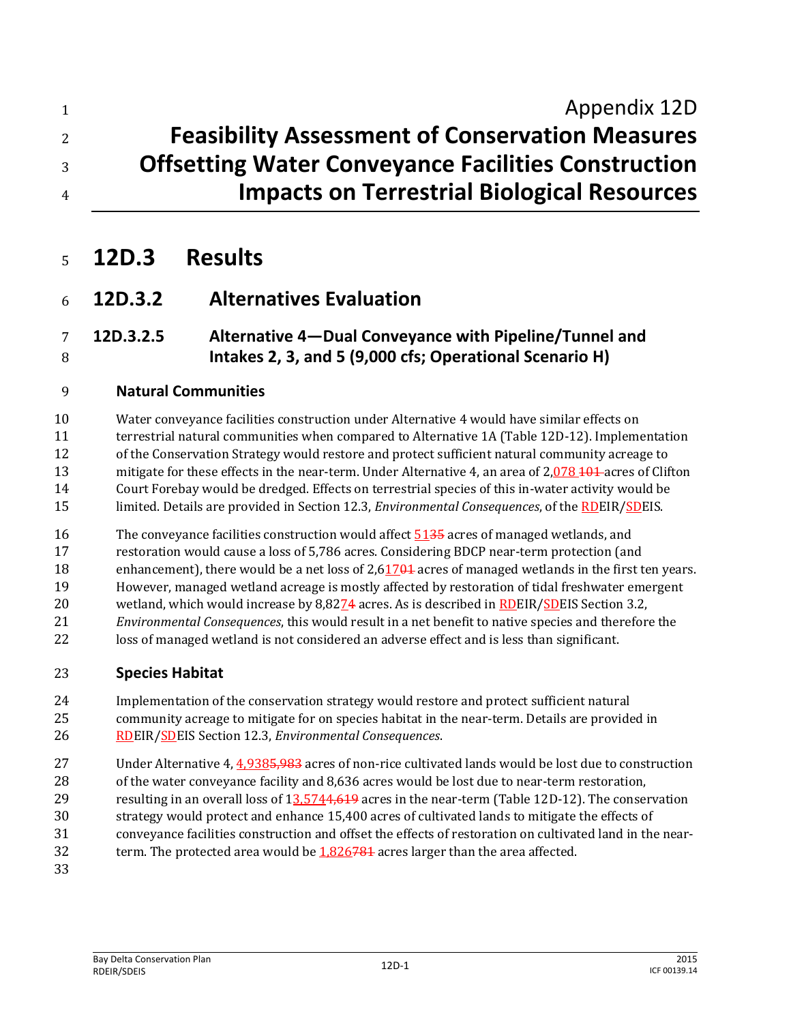# **Appendix 12D Feasibility Assessment of Conservation Measures Offsetting Water Conveyance Facilities Construction Impacts on Terrestrial Biological Resources**

# **12D.3 Results**

## **12D.3.2 Alternatives Evaluation**

### **12D.3.2.5 Alternative 4—Dual Conveyance with Pipeline/Tunnel and Intakes 2, 3, and 5 (9,000 cfs; Operational Scenario H)**

#### **Natural Communities**

 Water conveyance facilities construction under Alternative 4 would have similar effects on terrestrial natural communities when compared to Alternative 1A (Table 12D-12). Implementation of the Conservation Strategy would restore and protect sufficient natural community acreage to 13 mitigate for these effects in the near-term. Under Alternative 4, an area of 2,078 101 acres of Clifton Court Forebay would be dredged. Effects on terrestrial species of this in-water activity would be limited. Details are provided in Section 12.3, *Environmental Consequences*, of the RDEIR/SDEIS.

16 The conveyance facilities construction would affect 5135 acres of managed wetlands, and

restoration would cause a loss of 5,786 acres. Considering BDCP near-term protection (and

18 enhancement), there would be a net loss of 2,61704 acres of managed wetlands in the first ten years. However, managed wetland acreage is mostly affected by restoration of tidal freshwater emergent

- 20 wetland, which would increase by 8,8274 acres. As is described in RDEIR/SDEIS Section 3.2,
- *Environmental Consequences*, this would result in a net benefit to native species and therefore the
- loss of managed wetland is not considered an adverse effect and is less than significant.

#### **Species Habitat**

 Implementation of the conservation strategy would restore and protect sufficient natural community acreage to mitigate for on species habitat in the near-term. Details are provided in RDEIR/SDEIS Section 12.3, *Environmental Consequences*.

- Under Alternative 4, 4,9385,983 acres of non-rice cultivated lands would be lost due to construction
- 28 of the water conveyance facility and 8,636 acres would be lost due to near-term restoration,
- 29 resulting in an overall loss of 13,5744,619 acres in the near-term (Table 12D-12). The conservation
- strategy would protect and enhance 15,400 acres of cultivated lands to mitigate the effects of
- conveyance facilities construction and offset the effects of restoration on cultivated land in the near-
- 32 term. The protected area would be  $1,826781$  acres larger than the area affected.